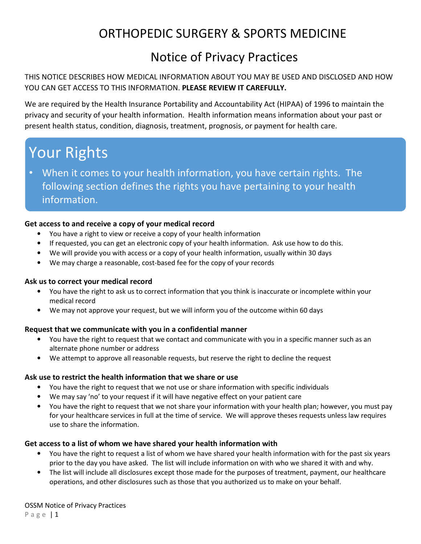## ORTHOPEDIC SURGERY & SPORTS MEDICINE

## Notice of Privacy Practices

## THIS NOTICE DESCRIBES HOW MEDICAL INFORMATION ABOUT YOU MAY BE USED AND DISCLOSED AND HOW YOU CAN GET ACCESS TO THIS INFORMATION. **PLEASE REVIEW IT CAREFULLY.**

We are required by the Health Insurance Portability and Accountability Act (HIPAA) of 1996 to maintain the privacy and security of your health information. Health information means information about your past or present health status, condition, diagnosis, treatment, prognosis, or payment for health care.

# Your Rights

• When it comes to your health information, you have certain rights. The following section defines the rights you have pertaining to your health information.

## **Get access to and receive a copy of your medical record**

- You have a right to view or receive a copy of your health information
- If requested, you can get an electronic copy of your health information. Ask use how to do this.
- We will provide you with access or a copy of your health information, usually within 30 days
- We may charge a reasonable, cost-based fee for the copy of your records

## **Ask us to correct your medical record**

- You have the right to ask us to correct information that you think is inaccurate or incomplete within your medical record
- We may not approve your request, but we will inform you of the outcome within 60 days

## **Request that we communicate with you in a confidential manner**

- You have the right to request that we contact and communicate with you in a specific manner such as an alternate phone number or address
- We attempt to approve all reasonable requests, but reserve the right to decline the request

## **Ask use to restrict the health information that we share or use**

- You have the right to request that we not use or share information with specific individuals
- We may say 'no' to your request if it will have negative effect on your patient care
- You have the right to request that we not share your information with your health plan; however, you must pay for your healthcare services in full at the time of service. We will approve theses requests unless law requires use to share the information.

## **Get access to a list of whom we have shared your health information with**

- You have the right to request a list of whom we have shared your health information with for the past six years prior to the day you have asked. The list will include information on with who we shared it with and why.
- The list will include all disclosures except those made for the purposes of treatment, payment, our healthcare operations, and other disclosures such as those that you authorized us to make on your behalf.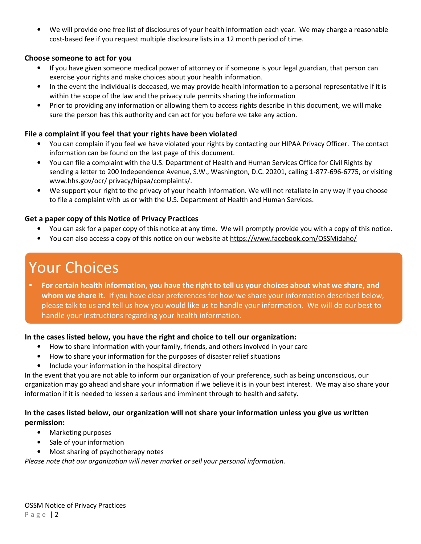• We will provide one free list of disclosures of your health information each year. We may charge a reasonable cost-based fee if you request multiple disclosure lists in a 12 month period of time.

## **Choose someone to act for you**

- If you have given someone medical power of attorney or if someone is your legal guardian, that person can exercise your rights and make choices about your health information.
- In the event the individual is deceased, we may provide health information to a personal representative if it is within the scope of the law and the privacy rule permits sharing the information
- Prior to providing any information or allowing them to access rights describe in this document, we will make sure the person has this authority and can act for you before we take any action.

## **File a complaint if you feel that your rights have been violated**

- You can complain if you feel we have violated your rights by contacting our HIPAA Privacy Officer. The contact information can be found on the last page of this document.
- You can file a complaint with the U.S. Department of Health and Human Services Office for Civil Rights by sending a letter to 200 Independence Avenue, S.W., Washington, D.C. 20201, calling 1-877-696-6775, or visiting www.hhs.gov/ocr/ privacy/hipaa/complaints/.
- We support your right to the privacy of your health information. We will not retaliate in any way if you choose to file a complaint with us or with the U.S. Department of Health and Human Services.

### **Get a paper copy of this Notice of Privacy Practices**

- You can ask for a paper copy of this notice at any time. We will promptly provide you with a copy of this notice.
- You can also access a copy of this notice on our website at https://www.facebook.com/OSSMidaho/

# Your Choices

• **For certain health information, you have the right to tell us your choices about what we share, and whom we share it.** If you have clear preferences for how we share your information described below, please talk to us and tell us how you would like us to handle your information. We will do our best to handle your instructions regarding your health information.

## **In the cases listed below, you have the right and choice to tell our organization:**

- How to share information with your family, friends, and others involved in your care
- How to share your information for the purposes of disaster relief situations
- Include your information in the hospital directory

In the event that you are not able to inform our organization of your preference, such as being unconscious, our organization may go ahead and share your information if we believe it is in your best interest. We may also share your information if it is needed to lessen a serious and imminent through to health and safety.

## **In the cases listed below, our organization will not share your information unless you give us written permission:**

- Marketing purposes
- Sale of your information
- Most sharing of psychotherapy notes

*Please note that our organization will never market or sell your personal information.*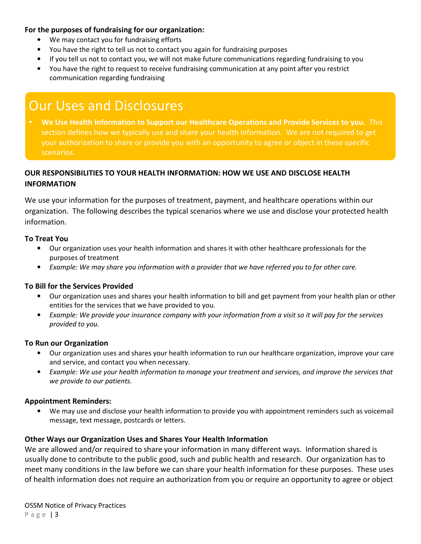## **For the purposes of fundraising for our organization:**

- We may contact you for fundraising efforts
- You have the right to tell us not to contact you again for fundraising purposes
- If you tell us not to contact you, we will not make future communications regarding fundraising to you
- You have the right to request to receive fundraising communication at any point after you restrict communication regarding fundraising

# Our Uses and Disclosures

• **We Use Health Information to Support our Healthcare Operations and Provide Services to you.** This section defines how we typically use and share your health information. We are not required to get your authorization to share or provide you with an opportunity to agree or object in these specific scenarios.

## **OUR RESPONSIBILITIES TO YOUR HEALTH INFORMATION: HOW WE USE AND DISCLOSE HEALTH INFORMATION**

We use your information for the purposes of treatment, payment, and healthcare operations within our organization. The following describes the typical scenarios where we use and disclose your protected health information.

## **To Treat You**

- Our organization uses your health information and shares it with other healthcare professionals for the purposes of treatment
- *Example: We may share you information with a provider that we have referred you to for other care.*

## **To Bill for the Services Provided**

- Our organization uses and shares your health information to bill and get payment from your health plan or other entities for the services that we have provided to you.
- *Example: We provide your insurance company with your information from a visit so it will pay for the services provided to you.*

## **To Run our Organization**

- Our organization uses and shares your health information to run our healthcare organization, improve your care and service, and contact you when necessary.
- *Example: We use your health information to manage your treatment and services, and improve the services that we provide to our patients.*

## **Appointment Reminders:**

• We may use and disclose your health information to provide you with appointment reminders such as voicemail message, text message, postcards or letters.

## **Other Ways our Organization Uses and Shares Your Health Information**

We are allowed and/or required to share your information in many different ways. Information shared is usually done to contribute to the public good, such and public health and research. Our organization has to meet many conditions in the law before we can share your health information for these purposes. These uses of health information does not require an authorization from you or require an opportunity to agree or object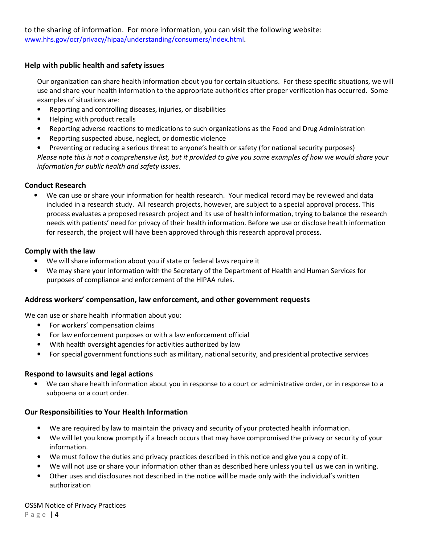## **Help with public health and safety issues**

Our organization can share health information about you for certain situations. For these specific situations, we will use and share your health information to the appropriate authorities after proper verification has occurred. Some examples of situations are:

- Reporting and controlling diseases, injuries, or disabilities
- Helping with product recalls
- Reporting adverse reactions to medications to such organizations as the Food and Drug Administration
- Reporting suspected abuse, neglect, or domestic violence
- Preventing or reducing a serious threat to anyone's health or safety (for national security purposes)

*Please note this is not a comprehensive list, but it provided to give you some examples of how we would share your information for public health and safety issues.* 

## **Conduct Research**

• We can use or share your information for health research. Your medical record may be reviewed and data included in a research study. All research projects, however, are subject to a special approval process. This process evaluates a proposed research project and its use of health information, trying to balance the research needs with patients' need for privacy of their health information. Before we use or disclose health information for research, the project will have been approved through this research approval process.

## **Comply with the law**

- We will share information about you if state or federal laws require it
- We may share your information with the Secretary of the Department of Health and Human Services for purposes of compliance and enforcement of the HIPAA rules.

## **Address workers' compensation, law enforcement, and other government requests**

We can use or share health information about you:

- For workers' compensation claims
- For law enforcement purposes or with a law enforcement official
- With health oversight agencies for activities authorized by law
- For special government functions such as military, national security, and presidential protective services

## **Respond to lawsuits and legal actions**

• We can share health information about you in response to a court or administrative order, or in response to a subpoena or a court order.

## **Our Responsibilities to Your Health Information**

- We are required by law to maintain the privacy and security of your protected health information.
- We will let you know promptly if a breach occurs that may have compromised the privacy or security of your information.
- We must follow the duties and privacy practices described in this notice and give you a copy of it.
- We will not use or share your information other than as described here unless you tell us we can in writing.
- Other uses and disclosures not described in the notice will be made only with the individual's written authorization